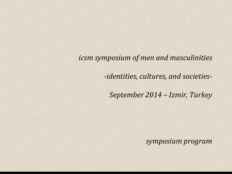*icsm symposium of men and masculinities*

*-identities, cultures, and societies-*

*September 2014 – Izmir, Turkey*

*symposium program*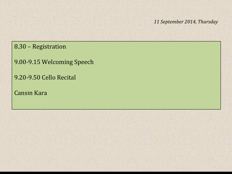8.30 – Registration

9.00-9.15 Welcoming Speech

9.20-9.50 Cello Recital

Cansın Kara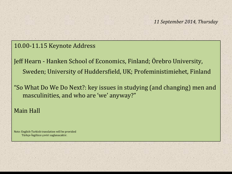#### 10.00-11.15 Keynote Address

Jeff Hearn - Hanken School of Economics, Finland; Örebro University, Sweden; University of Huddersfield, UK; Profeministimiehet, Finland

"So What Do We Do Next?: key issues in studying (and changing) men and masculinities, and who are 'we' anyway?"

#### Main Hall

Note: English-Turkish translation will be provided Türkçe-İngilizce çeviri saglanacaktır.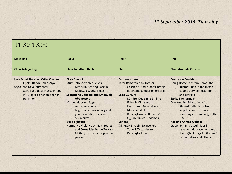## 11.30-13.00

| <b>Main Hall</b>                                                                                                                                                                   | <b>Hall A</b>                                                                                                                                                                                                                                                                                                                                                                                                                                      | <b>Hall B</b>                                                                                                                                                                                                                                                                                                                                                                                     | <b>Hall C</b>                                                                                                                                                                                                                                                                                                                                                                                                                                                       |
|------------------------------------------------------------------------------------------------------------------------------------------------------------------------------------|----------------------------------------------------------------------------------------------------------------------------------------------------------------------------------------------------------------------------------------------------------------------------------------------------------------------------------------------------------------------------------------------------------------------------------------------------|---------------------------------------------------------------------------------------------------------------------------------------------------------------------------------------------------------------------------------------------------------------------------------------------------------------------------------------------------------------------------------------------------|---------------------------------------------------------------------------------------------------------------------------------------------------------------------------------------------------------------------------------------------------------------------------------------------------------------------------------------------------------------------------------------------------------------------------------------------------------------------|
| Chair Aslı Çarkoğlu                                                                                                                                                                | <b>Chair Jonathan Neale</b>                                                                                                                                                                                                                                                                                                                                                                                                                        | <b>Chair</b>                                                                                                                                                                                                                                                                                                                                                                                      | <b>Chair Amanda Conroy</b>                                                                                                                                                                                                                                                                                                                                                                                                                                          |
| Hale Bolak Boratav, Güler Okman<br>Fişek,, Hande Eslen-Ziya<br><b>Social and Developmental</b><br><b>Construction of Masculinities</b><br>in Turkey: a phenomenon in<br>transition | <b>Cirus Rinaldi</b><br>(Auto-)ethnographic Selves,<br><b>Masculinities and Race in</b><br><b>Male Sex Work Arenas</b><br><b>Sebastiano Benasso and Emanuela</b><br>Abbatecola<br><b>Masculinities on Stage:</b><br>representations of<br>hegemonic-masculinity and<br>gender relationships in the<br>sex market.<br>Mine Eğbatan<br>Normative Violence on Gay Bodies<br>and Sexualities in the Turkish<br>Military: no room for positive<br>peace | <b>Feridun Nizam</b><br>Tatar Ramazan'dan Komser<br>Şekspir'e: Kadir İnanır örneği<br>ile sinemada değişen erkeklik<br>Seda Gürtürk<br>Kültürel Değişimle Birlikte<br>Erkeklik Olgusunun<br>Dönüşümü, Geleneksel-<br><b>Modern Erkek</b><br>Karşılaştırması: Babam Ve<br>Oğlum film çözümlemesi<br><b>Elif Yas</b><br>İki Kuşak Erkeğin Eşcinsellere<br>Yönelik Tutumlarının<br>Karşılaştırılması | <b>Francesco Cerchiaro</b><br>Doing Home Far from Home: the<br>migrant man in the mixed<br>couple between tradition<br>and betrayal<br>Sarita Fae Jarmack<br><b>Constructing Masculinity from</b><br>Abroad: reflections from<br>Nepalese men on social<br>remitting after moving to the<br><b>U.S.</b><br><b>Adriana Ahmad Qubaia</b><br>Queer Syrian Masculinities in<br>Lebanon: displacement and<br>the (re)building of 'different'<br>sexual selves and others |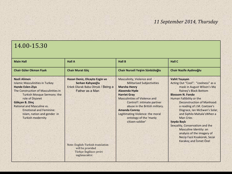# 14.00-15.30

| <b>Main Hall</b>                                                                                                                                                                                                                                                                                                                       | <b>Hall A</b>                                                                                                                                                                                                   | <b>Hall B</b>                                                                                                                                                                                                                                                                                                                                          | <b>Hall C</b>                                                                                                                                                                                                                                                                                                                                                                                                                                                                   |
|----------------------------------------------------------------------------------------------------------------------------------------------------------------------------------------------------------------------------------------------------------------------------------------------------------------------------------------|-----------------------------------------------------------------------------------------------------------------------------------------------------------------------------------------------------------------|--------------------------------------------------------------------------------------------------------------------------------------------------------------------------------------------------------------------------------------------------------------------------------------------------------------------------------------------------------|---------------------------------------------------------------------------------------------------------------------------------------------------------------------------------------------------------------------------------------------------------------------------------------------------------------------------------------------------------------------------------------------------------------------------------------------------------------------------------|
| <b>Chair Güler Okman Fişek</b>                                                                                                                                                                                                                                                                                                         | Chair Murat Göç                                                                                                                                                                                                 | Chair Nurseli Yeşim Sünbüloğlu                                                                                                                                                                                                                                                                                                                         | Chair Nazife Aydınoğlu                                                                                                                                                                                                                                                                                                                                                                                                                                                          |
| <b>Nazli Alimen</b><br><b>Islamic Masculinities in Turkey</b><br><b>Hande Eslen-Ziya</b><br>The Construction of Masculinities in<br><b>Turkish Mosque Sermons: the</b><br>role of Diyanet<br>Gökcen B. Dinc<br>Rational and Masculine vs.<br><b>Emotional and Feminine:</b><br>Islam, nation and gender in<br><b>Turkish modernity</b> | Hasan Deniz, Olcayto Ezgin ve<br>Serkan Kahyaoğlu<br>Erkek Olarak Baba Olmak / Being a<br>Father as a Man<br>Note: English-Turkish translation<br>will be provided<br>Türkçe-İngilizce çeviri<br>saglanacaktır. | Masculinity, Violence and<br><b>Militarised Subjectivities</b><br><b>Marsha Henry</b><br><b>Alaxenda Hyde</b><br><b>Harriet Gray</b><br><b>Masculinities of Violence and</b><br>Control?: intimate partner<br>abuse in the British military.<br><b>Amanda Conroy</b><br>Legitimating Violence: the moral<br>ontology of the 'manly<br>citizen-soldier' | Vahit Yaşayan<br>Acting Out "Cool": "coolness" as a<br>mask in August Wilson's Ma<br>Rainey's Black Bottom<br><b>Blossom N. Fondo</b><br>Human Fallibility or the<br>Deconstruction of Manhood:<br>a reading of J.M. Coetzee's<br>Disgrace, Ian McEwan's Solar,<br>and Siphilo Mahala's When a<br>Man Cries<br>Seyda Başlı<br>Sexuality, Conservatism and the<br>Masculine Identity: an<br>analysis of the imagery of<br>Necip Fazıl Kısakürek, Sezai<br>Karakoç and Ismet Özel |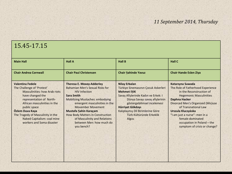## 15.45-17.15

| <b>Main Hall</b>                                                                                                                                                                                                                                                                                                  | <b>Hall A</b>                                                                                                                                                                                                                                                                                                                                                         | <b>Hall B</b>                                                                                                                                                                                                                                                                                       | <b>Hall C</b>                                                                                                                                                                                                                                                                                                                              |
|-------------------------------------------------------------------------------------------------------------------------------------------------------------------------------------------------------------------------------------------------------------------------------------------------------------------|-----------------------------------------------------------------------------------------------------------------------------------------------------------------------------------------------------------------------------------------------------------------------------------------------------------------------------------------------------------------------|-----------------------------------------------------------------------------------------------------------------------------------------------------------------------------------------------------------------------------------------------------------------------------------------------------|--------------------------------------------------------------------------------------------------------------------------------------------------------------------------------------------------------------------------------------------------------------------------------------------------------------------------------------------|
| <b>Chair Andrea Cornwall</b>                                                                                                                                                                                                                                                                                      | <b>Chair Paul Christensen</b>                                                                                                                                                                                                                                                                                                                                         | <b>Chair Sahinde Yavuz</b>                                                                                                                                                                                                                                                                          | <b>Chair Hande Eslen Ziya</b>                                                                                                                                                                                                                                                                                                              |
| <b>Valentina Fedele</b><br>The Challenge of 'Protest'<br><b>Masculinities: how Arab riots</b><br>have changed the<br>representation of North-<br>African masculinities in the<br>public space<br>Özlem Duva Kaya<br>The Tragedy of Masculinity in the<br>Naked Capitalism: coal mine<br>workers and Soma disaster | <b>Theresa E. Moxey-Adderley</b><br><b>Bahamian Men's Sexual Risks for</b><br><b>HIV Infection</b><br><b>Sara Smith</b><br><b>Mobilizing Mustaches: embodying</b><br>emergent masculinities in the<br><b>Movember Movement</b><br>Mustafa Şahin Karaçam<br>How Body Matters in Construction<br>of Masculinity and Relations<br>between Men: how much do<br>you bench? | <b>Nilay Erbalan</b><br>Türkiye Sinemasının Çocuk Askerleri<br><b>Mehmet ISIK</b><br>Savaş Afişlerinde Kadın ve Erkek: I<br>Dünya Savaşı savaş afişlerinin<br>göstergebilimsel incelemesi<br>Hürriyet Gökdayı<br>Kalıplaşmış Dil Birimlerine Göre<br>Türk Kültüründe Erkeklik<br>Alg <sub>151</sub> | Katarzyna Suwada<br>The Role of Fatherhood Experience<br>in the Reconstruction of<br><b>Hegemonic Masculinities</b><br>Daphna Hacker<br>Divorced Men's Organized (Mis)use<br>of Transnational Law<br>Urszula Kluczyńska<br>"I am just a nurse": men in a<br>female-dominated<br>occupation in Poland - the<br>symptom of crisis or change? |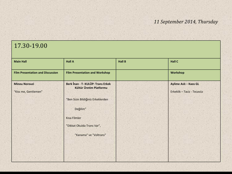$\begin{array}{ccc}\n\cdot & \cdot & \cdot & \cdot \\
\end{array}$ 

### 17.30-19.00

| <b>Main Hall</b>                             | <b>Hall A</b>                                                | <b>Hall B</b> | <b>Hall C</b>                                       |
|----------------------------------------------|--------------------------------------------------------------|---------------|-----------------------------------------------------|
| <b>Film Presentation and Discussion</b>      | <b>Film Presentation and Workshop</b>                        |               | <b>Workshop</b>                                     |
| <b>Minou Norouzi</b><br>"Kiss me, Gentlemen" | Berk Inan - T- KULÜP: Trans Erkek<br>Kültür Üretim Platformu |               | Aylime Aslı - Kaos GL<br>Erkeklik - Taciz - Tecavüz |
|                                              | "Ben Sizin Bildiğiniz Erkeklerden                            |               |                                                     |
|                                              | Değilim"                                                     |               |                                                     |
|                                              | <b>Kısa Filmler</b>                                          |               |                                                     |
|                                              | "Dikkat Okulda Trans Var",                                   |               |                                                     |
|                                              | "Kanama" ve "Voltrans"                                       |               |                                                     |
|                                              |                                                              |               |                                                     |
|                                              |                                                              |               |                                                     |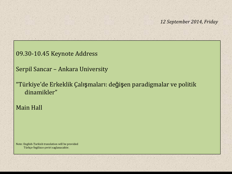09.30-10.45 Keynote Address

Serpil Sancar – Ankara University

"Türkiye'de Erkeklik Çalışmaları: değişen paradigmalar ve politik dinamikler"

Main Hall

Note: English-Turkish translation will be provided Türkçe-İngilizce çeviri saglanacaktır.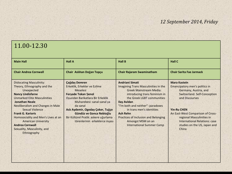## 11.00-12.30

| <b>Main Hall</b>                                                                                                                                                                                                                                                                                                                                                                                                 | <b>Hall A</b>                                                                                                                                                                                                                                                                                                    | <b>Hall B</b>                                                                                                                                                                                                                                                                                                                                                        | <b>Hall C</b>                                                                                                                                                                                                                                                                                             |
|------------------------------------------------------------------------------------------------------------------------------------------------------------------------------------------------------------------------------------------------------------------------------------------------------------------------------------------------------------------------------------------------------------------|------------------------------------------------------------------------------------------------------------------------------------------------------------------------------------------------------------------------------------------------------------------------------------------------------------------|----------------------------------------------------------------------------------------------------------------------------------------------------------------------------------------------------------------------------------------------------------------------------------------------------------------------------------------------------------------------|-----------------------------------------------------------------------------------------------------------------------------------------------------------------------------------------------------------------------------------------------------------------------------------------------------------|
| <b>Chair Andrea Cornwall</b>                                                                                                                                                                                                                                                                                                                                                                                     | Chair Aslıhan Doğan Topçu                                                                                                                                                                                                                                                                                        | <b>Chair Rajaram Swaminatham</b>                                                                                                                                                                                                                                                                                                                                     | <b>Chair Sarita Fae Jarmack</b>                                                                                                                                                                                                                                                                           |
| <b>Dislocating Masculinity:</b><br>Theory, Ethnography and the<br>Unexpected<br><b>Nancy Lindisfarne</b><br><b>Unmarked Elite Masculinities</b><br><b>Jonathan Neale</b><br>Neoliberalism and Changes in Male<br><b>Sexual Violence</b><br><b>Frank G. Karioris</b><br>Homosociality and Men's Lives at an<br><b>American University</b><br><b>Andrea Cornwall</b><br>Sexuality, Masculinity, and<br>Ethnography | Çağdaş Demren<br>Erkeklik, Erkekler ve Ezilme<br>Meselesi<br><b>Feryade Tokan Senol</b><br>Oyundan Barikatlara Bir Erkeklik<br>Muharebesi: sanal-sanal ya<br>da sanal<br>Aslı Aydemir, Ogeday Çoker, Tuğçe<br>Gündüz ve Gonca Nebioğlu<br>Bir Kültürel Pratik: askere uğurlama<br>törenlerinin erkeklerce inşası | <b>Andriani Simati</b><br>Imagining Trans Masculinities in the<br><b>Greek Mainstream Media:</b><br>introducing trans feminism in<br>the Greek LGBT communities<br><b>Ilay Avidan</b><br>"I'm both and neither": paradoxes<br>in trans men's identities<br>Ash Rehn<br>Practices of Inclusion and Belonging<br>Amongst MSM on an<br><b>International Summer Camp</b> | <b>Mara Kastein</b><br>Emancipatory men's politics in<br>Germany, Austria, and<br>Switzerland. Self-Conception<br>and Discourses<br><b>Yin-Ru CHEN</b><br>An East-West Comparison of Cross-<br>regional Masculinities in<br><b>International Relations: case</b><br>studies on the US, Japan and<br>China |
|                                                                                                                                                                                                                                                                                                                                                                                                                  |                                                                                                                                                                                                                                                                                                                  |                                                                                                                                                                                                                                                                                                                                                                      |                                                                                                                                                                                                                                                                                                           |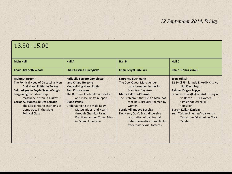## 13.30- 15.00

| <b>Main Hall</b>                                                                                                                                                                                                                                                                                                            | <b>Hall A</b>                                                                                                                                                                                                                                                                                                                                  | <b>Hall B</b>                                                                                                                                                                                                                                                                                                                                                                         | Hall C                                                                                                                                                                                                                                                                                                                        |
|-----------------------------------------------------------------------------------------------------------------------------------------------------------------------------------------------------------------------------------------------------------------------------------------------------------------------------|------------------------------------------------------------------------------------------------------------------------------------------------------------------------------------------------------------------------------------------------------------------------------------------------------------------------------------------------|---------------------------------------------------------------------------------------------------------------------------------------------------------------------------------------------------------------------------------------------------------------------------------------------------------------------------------------------------------------------------------------|-------------------------------------------------------------------------------------------------------------------------------------------------------------------------------------------------------------------------------------------------------------------------------------------------------------------------------|
| <b>Chair Elizabeth Wood</b>                                                                                                                                                                                                                                                                                                 | Chair Urszula Kluczynska                                                                                                                                                                                                                                                                                                                       | <b>Chair Feryal Cubukcu</b>                                                                                                                                                                                                                                                                                                                                                           | Chair Konca Yumlu                                                                                                                                                                                                                                                                                                             |
| <b>Mehmet Bozok</b><br>The Political Need of Discussing Men<br>And Masculinities in Turkey<br>Selin Akyuz ve Feyda Sayan-Cengiz<br><b>Bargaining For Citizenship:</b><br>masculine citizen in Turkey<br>Carlos A. Montes de Oca Estrada<br>The Social Representations of<br>Democracy in the Male<br><b>Political Class</b> | Raffaella Ferrero Camoletto<br>and Chiara Bertone<br><b>Medicalizing Masculinities</b><br><b>Paul Christensen</b><br>The Burden of Sobriety: alcoholism<br>and masculinity in Japan<br>Diana Pakasi<br>Understanding the Male Body,<br>Masculinities, and Health<br>through Chemical Using<br>Practices among Young Men<br>in Papua, Indonesia | Laurence Bachmann<br>The Cool Queer Man: gender<br>transformation in the San<br><b>Francisco Bay Area</b><br>Maria Pallotta-Chiarolli<br>The Problem is that He's a Man, not<br>that He's Bisexual: bi men by<br>women<br>Sergio Villanueva Baselga<br>Don't tell, Don't Exist: discursive<br>restoration of patriarchal<br>heteronormative masculinity<br>after male sexual tortures | Eren Yüksel<br>12 Eylül Filmlerinde Erkeklik Krizi ve<br>Kimliğinin İnşası<br>Aslıhan Doğan Topçu<br>Gülünesi Erkek(lik)ler!:Arif, Hüseyin<br>ve Recep  Türk komedi<br>filmlerinde erkek(lik)<br>temsilleri<br><b>Burçin Kalkın Kızıldaş</b><br>Yeni Türkiye Sineması'nda Kentin<br>Taşrasının Erkekleri ve "Fark<br>Yaraları |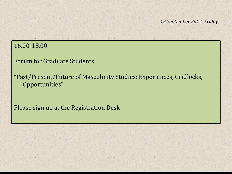### 16.00-18.00

Forum for Graduate Students

"Past/Present/Future of Masculinity Studies: Experiences, Gridlocks, Opportunities"

Please sign up at the Registration Desk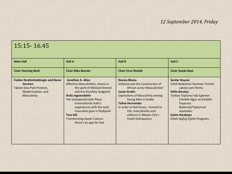## 15:15- 16.45

| <b>Main Hall</b>                                                                                                             | <b>Hall A</b>                                                                                                                                                                                                                                                                                                                                    | <b>Hall B</b>                                                                                                                                                                                                                                                                                                                    | <b>Hall C</b>                                                                                                                                                                                                                                                           |
|------------------------------------------------------------------------------------------------------------------------------|--------------------------------------------------------------------------------------------------------------------------------------------------------------------------------------------------------------------------------------------------------------------------------------------------------------------------------------------------|----------------------------------------------------------------------------------------------------------------------------------------------------------------------------------------------------------------------------------------------------------------------------------------------------------------------------------|-------------------------------------------------------------------------------------------------------------------------------------------------------------------------------------------------------------------------------------------------------------------------|
| <b>Chair Henning Bech</b>                                                                                                    | <b>Chair Niko Besnier</b>                                                                                                                                                                                                                                                                                                                        | <b>Chair Cirus Rinaldi</b>                                                                                                                                                                                                                                                                                                       | Chair Seyda Başlı                                                                                                                                                                                                                                                       |
| <b>Fulden Ibrahimhakkioglu and Baran</b><br>Germen<br>Taksim Gezi Park Protests,<br>Modernization, and<br><b>Masculinity</b> | Jonathan A. Allan<br>Affective Masculinities: shame in<br>the work of Michael Kimmel<br>and Eve Kosofsky Sedgwick<br>Árdís Ingvarsdóttir<br>The Unexpected Safe Place:<br>transpational male's<br>experiences with the local<br>masculine gaze in Reykjavik<br><b>Tara Gill</b><br><b>Transforming Queer Culture:</b><br>there's an app for that | Deevia Bhana<br>Violence and the Construction of<br>African Junior Masculinities"<br><b>Jovan Grubic</b><br><b>Expressions of Masculinity among</b><br>Young Men in Serbia<br><b>Talina Hernandez</b><br>In order to feel brave, I started to<br>rob: masculinities and<br>violence in Mexico City's<br><b>Youth Delinquency</b> | <b>Serdar Hoscan</b><br>Erkek Bedeninin Feminen Temsili:<br>sakalın yeni formu<br><b>Atilla Barutçu</b><br>Türkiye Toplumu'nda Egemen<br>Erkeklik Algısı ve Erkeklik<br>Inşasının<br>Bedensel/Toplumsal<br>Aşamaları<br>Eylem Karakaya<br>Erkek Sağlığı Eğitim Programı |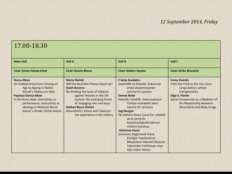# 17.00-18.30

| <b>Main Hall</b>                                                                                                                                                                                                                                                 | <b>Hall A</b>                                                                                                                                                                                                                                                                                                 | <b>Hall B</b>                                                                                                                                                                                                                                                                                                                                                                                                                                                                                                                      | <b>Hall C</b>                                                                                                                                                                                                                 |
|------------------------------------------------------------------------------------------------------------------------------------------------------------------------------------------------------------------------------------------------------------------|---------------------------------------------------------------------------------------------------------------------------------------------------------------------------------------------------------------------------------------------------------------------------------------------------------------|------------------------------------------------------------------------------------------------------------------------------------------------------------------------------------------------------------------------------------------------------------------------------------------------------------------------------------------------------------------------------------------------------------------------------------------------------------------------------------------------------------------------------------|-------------------------------------------------------------------------------------------------------------------------------------------------------------------------------------------------------------------------------|
| <b>Chair Çimen Günay-Erkol</b>                                                                                                                                                                                                                                   | <b>Chair Deevia Bhana</b>                                                                                                                                                                                                                                                                                     | Chair Gülden Sayılan                                                                                                                                                                                                                                                                                                                                                                                                                                                                                                               | <b>Chair Ulrike Brunotte</b>                                                                                                                                                                                                  |
| <b>Burcu Alkan</b><br>An Oedipal Drive from Coming-of-<br>Age to Ageing in Nedim<br>Gürsel's Yüzbaşının Oğlu<br>Papatya Genca-Alkan<br>In the Army Now: masculinity as<br>performance, masculinity as<br>ideology in Mehmet Murat<br>Somer's Pembe Tütülü Amiral | <b>Maria Rashid</b><br>Will the Real Men Please Stand Up?<br><b>Gizeh Becerra</b><br>Re-thinking the Issue of Violence<br>against Women in the UN<br>System: the emerging frame<br>of 'engaging men and boys'<br>Aslıhan Burcu Öztürk<br>Masculinity's Dance with Violence:<br>the experience in the military | <b>F.Seda Kundakcı</b><br>Ataerkillik ve Erkeklik: Ankara'da<br>erkek akademisyenler<br>üzerine bir çalışma<br><b>Demet Bolat</b><br>Kadınlık, Erkeklik, Heteroseksizm:<br>Türkiye muhalefet alanı<br>üzerine bir tartışma<br><b>Ezgi Burgan</b><br>İlk Kültürel Gereç Çuval İse: erkeklik<br>ve et yemenin<br>kesişimselliğinde bilimsel<br>mitlerin kuruluşu<br><b>Gülsünay Uysal</b><br>Günümüz Hegemonik Erkek<br>Kimliğini Yapılandıran<br>Bileşenlerin Ataerkil Düşünce<br>Yapısından Farklılaşan veya<br>Aynı Kalan Yanları | <b>Corey Dzenko</b><br>From the Field to the City: Dora<br>Longo Bahia's artistic<br>transgressions<br>Olga S. Hünler<br>Social Comparision as a Mediator of<br>the Relationship between<br><b>Muscularity and Body Image</b> |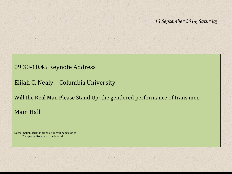#### 09.30-10.45 Keynote Address

Elijah C. Nealy – Columbia University

Will the Real Man Please Stand Up: the gendered performance of trans men Main Hall

Note: English-Turkish translation will be provided Türkçe-İngilizce çeviri saglanacaktır.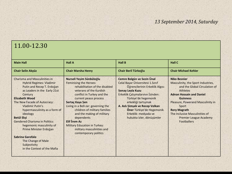## 11.00-12.30

| <b>Chair Selin Akyüz</b><br><b>Chair Marsha Henry</b><br>Chair Beril Türkoğlu<br><b>Chair Michael Kehler</b><br>Cemre Bolgün ve Sezin Ünal<br>Nurseli Yeşim Sünbüloğlu<br><b>Niko Besnier</b><br><b>Charisma and Masculinities in</b><br>Feminising the Heroes:<br>Celal Bayar Üniversitesi 1. Sınıf<br>Masculinity, the Sport Industries,<br><b>Hybrid Regimes: Vladimir</b><br>Putin and Recep T. Erdoğan<br>rehabilitation of the disabled<br>Öğrencilerinin Erkeklik Algısı<br>as Leaders in the Early 21st<br><b>Senay Leyla Kuzu</b><br>veterans of the Kurdish<br>Athletes<br>Erkeklik Çalışmalarının İzinden:<br>conflict in Turkey and the<br><b>Adnan Hossain and Daniel</b><br>Century<br><b>Elizabeth Wood</b><br>Türkiye'de hegemonik<br>current peace process<br><b>Guinness</b><br>erkekliği tartışmak<br>The New Facade of Autocracy:<br>Sertaç Kaya Şen<br>Pleasure, Powerand Masculinity in<br>Vladimir Putin's<br>A. Aslı Şimşek ve Recep Volkan<br>Living in a Bell-Jar: governing the<br>Sport<br>Öner Türkiye'de Hegemonik<br>hypermasculinity as a form of<br>children of military families<br><b>Rory Magrath</b><br>Erkeklik: medyada ve<br>and the making of military<br>The Inclusive Masculinities of<br>ideology<br>hukukta izler, dönüşümler<br>dependents<br><b>Betül Ekşi</b><br><b>Premier League Academy</b><br><b>Elif İrem Az</b><br><b>Gendered Charisma in Politics:</b><br><b>Footballers</b><br><b>Military Education in Turkey:</b><br>hegemonic masculinity of<br>Prime Minister Erdoğan<br>military masculinities and<br>contemporary politics<br>Sabrina Garofalo<br>The Change of Male | <b>Main Hall</b> | <b>Hall A</b> | <b>Hall B</b> | <b>Hall C</b>                 |
|-------------------------------------------------------------------------------------------------------------------------------------------------------------------------------------------------------------------------------------------------------------------------------------------------------------------------------------------------------------------------------------------------------------------------------------------------------------------------------------------------------------------------------------------------------------------------------------------------------------------------------------------------------------------------------------------------------------------------------------------------------------------------------------------------------------------------------------------------------------------------------------------------------------------------------------------------------------------------------------------------------------------------------------------------------------------------------------------------------------------------------------------------------------------------------------------------------------------------------------------------------------------------------------------------------------------------------------------------------------------------------------------------------------------------------------------------------------------------------------------------------------------------------------------------------------------------------------------------------------------------------------|------------------|---------------|---------------|-------------------------------|
|                                                                                                                                                                                                                                                                                                                                                                                                                                                                                                                                                                                                                                                                                                                                                                                                                                                                                                                                                                                                                                                                                                                                                                                                                                                                                                                                                                                                                                                                                                                                                                                                                                     |                  |               |               |                               |
| in the Context of the Mafia                                                                                                                                                                                                                                                                                                                                                                                                                                                                                                                                                                                                                                                                                                                                                                                                                                                                                                                                                                                                                                                                                                                                                                                                                                                                                                                                                                                                                                                                                                                                                                                                         | Subjectivity     |               |               | and the Global Circulation of |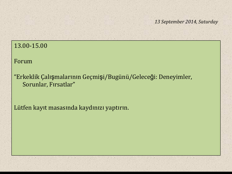### 13.00-15.00

Forum

"Erkeklik Çalışmalarının Geçmişi/Bugünü/Geleceği: Deneyimler, Sorunlar, Fırsatlar"

Lütfen kayıt masasında kaydınızı yaptırın.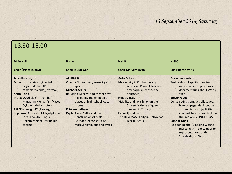### 13.30-15.00

| <b>Main Hall</b>                                                                                                                                                                                                                                                                                                                                            | <b>Hall A</b>                                                                                                                                                                                                                                                                                                                                            | <b>Hall B</b>                                                                                                                                                                                                                                                                                                                     | <b>Hall C</b>                                                                                                                                                                                                                                                                                                                                                                                                                                                       |
|-------------------------------------------------------------------------------------------------------------------------------------------------------------------------------------------------------------------------------------------------------------------------------------------------------------------------------------------------------------|----------------------------------------------------------------------------------------------------------------------------------------------------------------------------------------------------------------------------------------------------------------------------------------------------------------------------------------------------------|-----------------------------------------------------------------------------------------------------------------------------------------------------------------------------------------------------------------------------------------------------------------------------------------------------------------------------------|---------------------------------------------------------------------------------------------------------------------------------------------------------------------------------------------------------------------------------------------------------------------------------------------------------------------------------------------------------------------------------------------------------------------------------------------------------------------|
| Chair Özlem D. Kaya                                                                                                                                                                                                                                                                                                                                         | Chair Murat Göç                                                                                                                                                                                                                                                                                                                                          | <b>Chair Meryem Ayan</b>                                                                                                                                                                                                                                                                                                          | <b>Chair Berfin Varisli</b>                                                                                                                                                                                                                                                                                                                                                                                                                                         |
| İrfan Karakoç<br>Muharririn tahrir ettiği 'erkek'<br>beyanındadır: 'ilk'<br>romanlarda erkeği yazmak<br><b>Senol Topcu</b><br>Murat Uyurkulak'ın "Pembe",<br>Murathan Mungan'ın "Kaset"<br>Öykülerinde Homofobi<br>Elif Gözdaşoğlu Küçükalioğlu<br>Toplumsal Cinsiyetçi Milliyetçilik ve<br>İdeal Erkeklik Kurgusu:<br>Ankara romanı üzerine bir<br>çalışma | <b>Alp Biricik</b><br>Cinema Gunes: men, sexuality and<br>space<br><b>Michael Kehler</b><br>(In) visible Spaces: adolescent boys<br>navigating the embodied<br>places of high school locker<br>rooms<br><b>R</b> Swaminatham<br>Digital Gaze, Selfie and the<br><b>Construction of Male</b><br>Selfhood: reconstituting<br>masculinity in bits and bytes | <b>Arda Arıkan</b><br><b>Masculinity in Contemporary</b><br>American Prison Films: an<br>anti-social queer theory<br>approach<br><b>Nejat Ulusay</b><br>Visibility and Invisibility on the<br>Screen: is there a 'queer<br>cinema' in Turkey?<br><b>Feryal Çubukcu</b><br>The New Masculinity in Hollywood<br><b>Blockbusters</b> | <b>Adrienne Harris</b><br>Truths about Exploits: idealized<br>masculinities in post-Soviet<br>documentaries about World<br>War II<br><b>Steven G Jug</b><br><b>Constructing Combat Collectives:</b><br>how propaganda discourse<br>and soldierly subjectivities<br>co-constituted masculinity in<br>the Red Army, 1941-1945<br><b>Connor Doak</b><br>Re-opening the "Bleeding Wound":<br>masculinity in contemporary<br>representations of the<br>Soviet-Afghan War |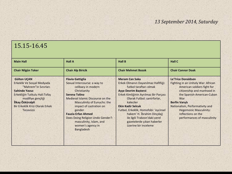## 15.15-16.45

| <b>Main Hall</b>                                                                                                                                                                                                            | <b>Hall A</b>                                                                                                                                                                                                                                                                                                                                                                | <b>Hall B</b>                                                                                                                                                                                                                                                                                                                                                                                       | <b>Hall C</b>                                                                                                                                                                                                                                                                                                              |
|-----------------------------------------------------------------------------------------------------------------------------------------------------------------------------------------------------------------------------|------------------------------------------------------------------------------------------------------------------------------------------------------------------------------------------------------------------------------------------------------------------------------------------------------------------------------------------------------------------------------|-----------------------------------------------------------------------------------------------------------------------------------------------------------------------------------------------------------------------------------------------------------------------------------------------------------------------------------------------------------------------------------------------------|----------------------------------------------------------------------------------------------------------------------------------------------------------------------------------------------------------------------------------------------------------------------------------------------------------------------------|
| <b>Chair Nilgün Toker</b>                                                                                                                                                                                                   | <b>Chair Alp Biricik</b>                                                                                                                                                                                                                                                                                                                                                     | <b>Chair Mehmet Bozok</b>                                                                                                                                                                                                                                                                                                                                                                           | <b>Chair Connor Doak</b>                                                                                                                                                                                                                                                                                                   |
| <b>Gülten UÇAN</b><br>Erkeklik Ve Sosyal Medyada<br>"Mahrem" in Sinirlari<br><b>Sahinde Yavuz</b><br>Erkekliğin Tutkulu Hali: Tofaş<br>modifiye gençliği<br>İlkay Özküralpli<br>Bir Erkeklik Krizi Olarak Erkek<br>Tecavüzü | <b>Flavia Gattiglia</b><br>Sexual Intercourse: a way to<br>celibacy in modern<br>Christianity<br><b>Serena Tolino</b><br>Medieval Islamic Discourse on the<br><b>Masculinity of Eunuchs: the</b><br>impact of castration on<br>gender<br><b>Fauzia Erfan Ahmed</b><br>Does Doing Religion Undo Gender?:<br>masculinity, Islam, and<br>women's agency in<br><b>Bangladesh</b> | <b>Meram Can Saka</b><br>Erkek Olmanın Dayanılmaz Hafifliği:<br>futbol taraftarı olmak<br><b>Ayse Devrim Basterzi</b><br>Erkek Kimliğinin Ayrılmaz Bir Parçası<br>Olarak Futbol: santrforlar,<br>kaleciler<br><b>Ekin Kadir Selcuk</b><br>Futbol, Erkeklik, Homofobi: 'escinsel<br>hakem' H. İbrahim Dinçdağ<br>ile ilgili Trabzon'daki yerel<br>gazetelerde çıkan haberler<br>üzerine bir inceleme | <b>Le'Trice Donaldson</b><br>Fighting in an Unholy War: African<br>American soldiers fight for<br>citizenship and manhood in<br>the Spanish-American-Cuban<br><b>War</b><br><b>Berfin Varisli</b><br>Nationalism, Performativity and<br><b>Hegemonic Masculinity:</b><br>reflections on the<br>performances of masculinity |